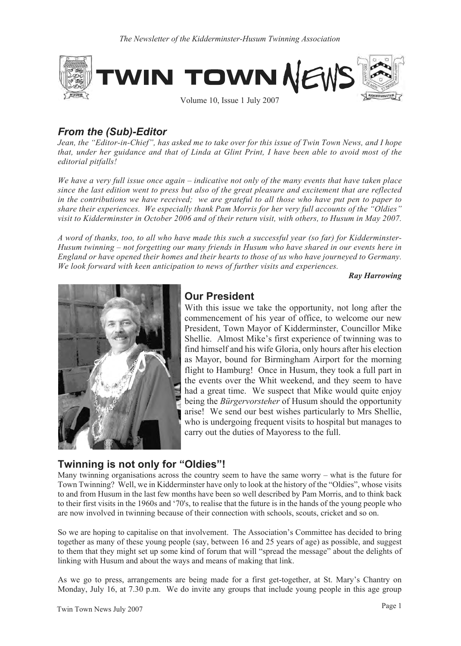

# *From the (Sub)-Editor*

*Jean, the "Editor-in-Chief", has asked me to take over for this issue of Twin Town News, and I hope that, under her guidance and that of Linda at Glint Print, I have been able to avoid most of the editorial pitfalls!*

*We have a very full issue once again – indicative not only of the many events that have taken place since the last edition went to press but also of the great pleasure and excitement that are reflected in the contributions we have received; we are grateful to all those who have put pen to paper to share their experiences. We especially thank Pam Morris for her very full accounts of the "Oldies" visit to Kidderminster in October 2006 and of their return visit, with others, to Husum in May 2007.*

*A word of thanks, too, to all who have made this such a successful year (so far) for Kidderminster-Husum twinning – not forgetting our many friends in Husum who have shared in our events here in England or have opened their homes and their hearts to those of us who have journeyed to Germany. We look forward with keen anticipation to news of further visits and experiences.*

*Ray Harrowing*



# **Our President**

With this issue we take the opportunity, not long after the commencement of his year of office, to welcome our new President, Town Mayor of Kidderminster, Councillor Mike Shellie. Almost Mike's first experience of twinning was to find himself and his wife Gloria, only hours after his election as Mayor, bound for Birmingham Airport for the morning flight to Hamburg! Once in Husum, they took a full part in the events over the Whit weekend, and they seem to have had a great time. We suspect that Mike would quite enjoy being the *Bürgervorsteher* of Husum should the opportunity arise! We send our best wishes particularly to Mrs Shellie, who is undergoing frequent visits to hospital but manages to carry out the duties of Mayoress to the full.

# **Twinning is not only for "Oldies"!**

Many twinning organisations across the country seem to have the same worry – what is the future for Town Twinning? Well, we in Kidderminster have only to look at the history of the "Oldies", whose visits to and from Husum in the last few months have been so well described by Pam Morris, and to think back to their first visits in the 1960s and '70's, to realise that the future is in the hands of the young people who are now involved in twinning because of their connection with schools, scouts, cricket and so on.

So we are hoping to capitalise on that involvement. The Association's Committee has decided to bring together as many of these young people (say, between 16 and 25 years of age) as possible, and suggest to them that they might set up some kind of forum that will "spread the message" about the delights of linking with Husum and about the ways and means of making that link.

As we go to press, arrangements are being made for a first get-together, at St. Mary's Chantry on Monday, July 16, at 7.30 p.m. We do invite any groups that include young people in this age group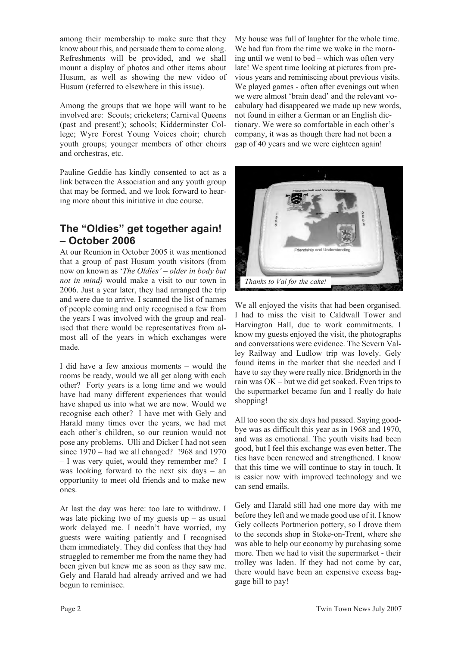among their membership to make sure that they know about this, and persuade them to come along. Refreshments will be provided, and we shall mount a display of photos and other items about Husum, as well as showing the new video of Husum (referred to elsewhere in this issue).

Among the groups that we hope will want to be involved are: Scouts; cricketers; Carnival Queens (past and present!); schools; Kidderminster College; Wyre Forest Young Voices choir; church youth groups; younger members of other choirs and orchestras, etc.

Pauline Geddie has kindly consented to act as a link between the Association and any youth group that may be formed, and we look forward to hearing more about this initiative in due course.

# **The "Oldies" get together again! – October 2006**

At our Reunion in October 2005 it was mentioned that a group of past Husum youth visitors (from now on known as '*The Oldies' – older in body but not in mind)* would make a visit to our town in 2006. Just a year later, they had arranged the trip and were due to arrive. I scanned the list of names of people coming and only recognised a few from the years I was involved with the group and realised that there would be representatives from almost all of the years in which exchanges were made.

I did have a few anxious moments – would the rooms be ready, would we all get along with each other? Forty years is a long time and we would have had many different experiences that would have shaped us into what we are now. Would we recognise each other? I have met with Gely and Harald many times over the years, we had met each other's children, so our reunion would not pose any problems. Ulli and Dicker I had not seen since 1970 – had we all changed? !968 and 1970 – I was very quiet, would they remember me? I was looking forward to the next six days – an opportunity to meet old friends and to make new ones.

At last the day was here: too late to withdraw. I was late picking two of my guests  $up - as$  usual work delayed me. I needn't have worried, my guests were waiting patiently and I recognised them immediately. They did confess that they had struggled to remember me from the name they had been given but knew me as soon as they saw me. Gely and Harald had already arrived and we had begun to reminisce.

My house was full of laughter for the whole time. We had fun from the time we woke in the morning until we went to bed – which was often very late! We spent time looking at pictures from previous years and reminiscing about previous visits. We played games - often after evenings out when we were almost 'brain dead' and the relevant vocabulary had disappeared we made up new words, not found in either a German or an English dictionary. We were so comfortable in each other's company, it was as though there had not been a gap of 40 years and we were eighteen again!



We all enjoyed the visits that had been organised. I had to miss the visit to Caldwall Tower and Harvington Hall, due to work commitments. I know my guests enjoyed the visit, the photographs and conversations were evidence. The Severn Valley Railway and Ludlow trip was lovely. Gely found items in the market that she needed and I have to say they were really nice. Bridgnorth in the rain was OK – but we did get soaked. Even trips to the supermarket became fun and I really do hate shopping!

All too soon the six days had passed. Saying goodbye was as difficult this year as in 1968 and 1970, and was as emotional. The youth visits had been good, but I feel this exchange was even better. The ties have been renewed and strengthened. I know that this time we will continue to stay in touch. It is easier now with improved technology and we can send emails.

Gely and Harald still had one more day with me before they left and we made good use of it. I know Gely collects Portmerion pottery, so I drove them to the seconds shop in Stoke-on-Trent, where she was able to help our economy by purchasing some more. Then we had to visit the supermarket - their trolley was laden. If they had not come by car, there would have been an expensive excess baggage bill to pay!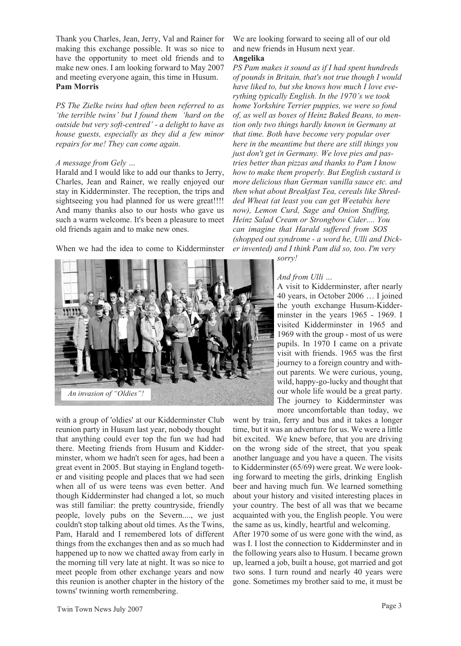Thank you Charles, Jean, Jerry, Val and Rainer for making this exchange possible. It was so nice to have the opportunity to meet old friends and to make new ones. I am looking forward to May 2007 and meeting everyone again, this time in Husum. **Pam Morris**

*PS The Zielke twins had often been referred to as 'the terrible twins' but I found them 'hard on the outside but very soft-centred' - a delight to have as house guests, especially as they did a few minor repairs for me! They can come again.*

#### *A message from Gely …*

Harald and I would like to add our thanks to Jerry, Charles, Jean and Rainer, we really enjoyed our stay in Kidderminster. The reception, the trips and sightseeing you had planned for us were great!!!! And many thanks also to our hosts who gave us such a warm welcome. It's been a pleasure to meet old friends again and to make new ones.

When we had the idea to come to Kidderminster



with a group of 'oldies' at our Kidderminster Club reunion party in Husum last year, nobody thought that anything could ever top the fun we had had there. Meeting friends from Husum and Kidderminster, whom we hadn't seen for ages, had been a great event in 2005. But staying in England together and visiting people and places that we had seen when all of us were teens was even better. And though Kidderminster had changed a lot, so much was still familiar: the pretty countryside, friendly people, lovely pubs on the Severn...., we just couldn't stop talking about old times. As the Twins, Pam, Harald and I remembered lots of different things from the exchanges then and as so much had happened up to now we chatted away from early in the morning till very late at night. It was so nice to meet people from other exchange years and now this reunion is another chapter in the history of the towns' twinning worth remembering.

We are looking forward to seeing all of our old and new friends in Husum next year. **Angelika**

*PS Pam makes it sound as if I had spent hundreds of pounds in Britain, that's not true though I would have liked to, but she knows how much I love everything typically English. In the 1970's we took home Yorkshire Terrier puppies, we were so fond of, as well as boxes of Heinz Baked Beans, to mention only two things hardly known in Germany at that time. Both have become very popular over here in the meantime but there are still things you just don't get in Germany. We love pies and pastries better than pizzas and thanks to Pam I know how to make them properly. But English custard is more delicious than German vanilla sauce etc. and then what about Breakfast Tea, cereals like Shredded Wheat (at least you can get Weetabix here now), Lemon Curd, Sage and Onion Stuffing, Heinz Salad Cream or Strongbow Cider.... You can imagine that Harald suffered from SOS (shopped out syndrome - a word he, Ulli and Dicker invented) and I think Pam did so, too. I'm very*

*sorry!*

#### *And from Ulli …*

A visit to Kidderminster, after nearly 40 years, in October 2006 … I joined the youth exchange Husum-Kidderminster in the years 1965 - 1969. I visited Kidderminster in 1965 and 1969 with the group - most of us were pupils. In 1970 I came on a private visit with friends. 1965 was the first journey to a foreign country and without parents. We were curious, young, wild, happy-go-lucky and thought that our whole life would be a great party. The journey to Kidderminster was more uncomfortable than today, we

went by train, ferry and bus and it takes a longer time, but it was an adventure for us. We were a little bit excited. We knew before, that you are driving on the wrong side of the street, that you speak another language and you have a queen. The visits to Kidderminster (65/69) were great. We were looking forward to meeting the girls, drinking English beer and having much fun. We learned something about your history and visited interesting places in your country. The best of all was that we became acquainted with you, the English people. You were the same as us, kindly, heartful and welcoming.

After 1970 some of us were gone with the wind, as was I. I lost the connection to Kidderminster and in the following years also to Husum. I became grown up, learned a job, built a house, got married and got two sons. I turn round and nearly 40 years were gone. Sometimes my brother said to me, it must be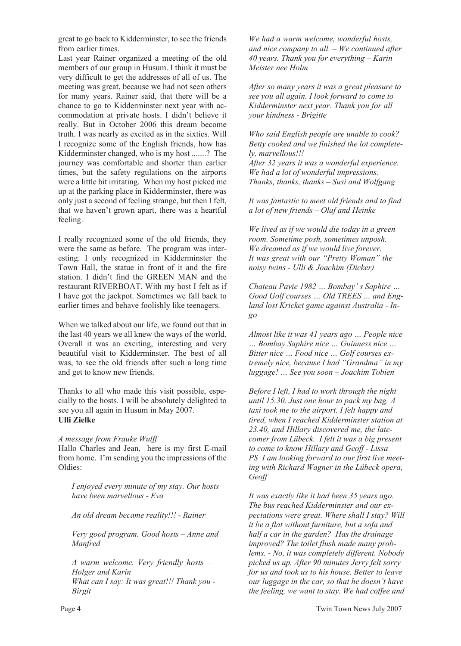great to go back to Kidderminster, to see the friends from earlier times.

Last year Rainer organized a meeting of the old members of our group in Husum. I think it must be very difficult to get the addresses of all of us. The meeting was great, because we had not seen others for many years. Rainer said, that there will be a chance to go to Kidderminster next year with accommodation at private hosts. I didn't believe it really. But in October 2006 this dream become truth. I was nearly as excited as in the sixties. Will I recognize some of the English friends, how has Kidderminster changed, who is my host .......? The journey was comfortable and shorter than earlier times, but the safety regulations on the airports were a little bit irritating. When my host picked me up at the parking place in Kidderminster, there was only just a second of feeling strange, but then I felt, that we haven't grown apart, there was a heartful feeling.

I really recognized some of the old friends, they were the same as before. The program was interesting. I only recognized in Kidderminster the Town Hall, the statue in front of it and the fire station. I didn't find the GREEN MAN and the restaurant RIVERBOAT. With my host I felt as if I have got the jackpot. Sometimes we fall back to earlier times and behave foolishly like teenagers.

When we talked about our life, we found out that in the last 40 years we all knew the ways of the world. Overall it was an exciting, interesting and very beautiful visit to Kidderminster. The best of all was, to see the old friends after such a long time and get to know new friends.

Thanks to all who made this visit possible, especially to the hosts. I will be absolutely delighted to see you all again in Husum in May 2007. **Ulli Zielke**

#### *A message from Frauke Wulff*

Hallo Charles and Jean, here is my first E-mail from home. I'm sending you the impressions of the Oldies:

*I enjoyed every minute of my stay. Our hosts have been marvellous - Eva*

*An old dream became reality!!! - Rainer*

*Very good program. Good hosts – Anne and Manfred*

*A warm welcome. Very friendly hosts – Holger and Karin What can I say: It was great!!! Thank you - Birgit*

*We had a warm welcome, wonderful hosts, and nice company to all. – We continued after 40 years. Thank you for everything – Karin Meister nee Holm*

*After so many years it was a great pleasure to see you all again. I look forward to come to Kidderminster next year. Thank you for all your kindness - Brigitte*

*Who said English people are unable to cook? Betty cooked and we finished the lot completely, marvellous!!!*

*After 32 years it was a wonderful experience. We had a lot of wonderful impressions. Thanks, thanks, thanks – Susi and Wolfgang*

*It was fantastic to meet old friends and to find a lot of new friends – Olaf and Heinke*

*We lived as if we would die today in a green room. Sometime posh, sometimes unposh. We dreamed as if we would live forever. It was great with our "Pretty Woman" the noisy twins - Ulli & Joachim (Dicker)*

*Chateau Pavie 1982 … Bombay' s Saphire … Good Golf courses … Old TREES … and England lost Kricket game against Australia - Ingo*

*Almost like it was 41 years ago … People nice … Bombay Saphire nice … Guinness nice … Bitter nice … Food nice … Golf courses extremely nice, because I had "Grandma" in my luggage! … See you soon – Joachim Tobien*

*Before I left, I had to work through the night until 15.30. Just one hour to pack my bag. A taxi took me to the airport. I felt happy and tired, when I reached Kidderminster station at 23.40, and Hillary discovered me, the latecomer from Lübeck. I felt it was a big present to come to know Hillary and Geoff - Lissa PS I am looking forward to our first live meeting with Richard Wagner in the Lübeck opera, Geoff*

*It was exactly like it had been 35 years ago. The bus reached Kidderminster and our expectations were great. Where shall I stay? Will it be a flat without furniture, but a sofa and half a car in the garden? Has the drainage improved? The toilet flush made many problems. - No, it was completely different. Nobody picked us up. After 90 minutes Jerry felt sorry for us and took us to his house. Better to leave our luggage in the car, so that he doesn't have the feeling, we want to stay. We had coffee and*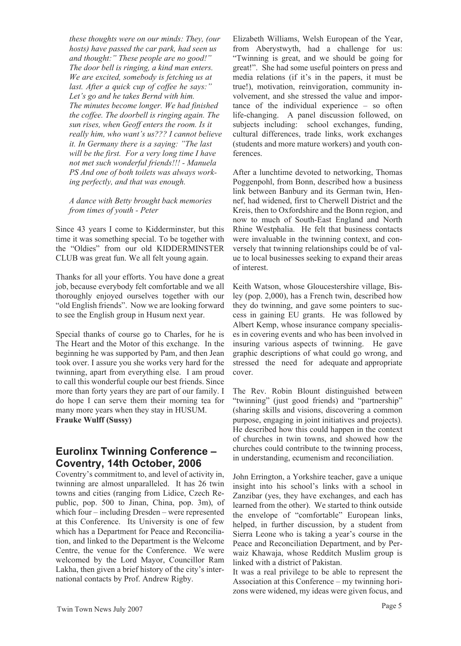*these thoughts were on our minds: They, (our hosts) have passed the car park, had seen us and thought:" These people are no good!" The door bell is ringing, a kind man enters. We are excited, somebody is fetching us at last. After a quick cup of coffee he says:" Let's go and he takes Bernd with him. The minutes become longer. We had finished the coffee. The doorbell is ringing again. The sun rises, when Geoff enters the room. Is it really him, who want's us??? I cannot believe it. In Germany there is a saying: "The last will be the first. For a very long time I have not met such wonderful friends!!! - Manuela PS And one of both toilets was always working perfectly, and that was enough.*

*A dance with Betty brought back memories from times of youth - Peter*

Since 43 years I come to Kidderminster, but this time it was something special. To be together with the "Oldies" from our old KIDDERMINSTER CLUB was great fun. We all felt young again.

Thanks for all your efforts. You have done a great job, because everybody felt comfortable and we all thoroughly enjoyed ourselves together with our "old English friends". Now we are looking forward to see the English group in Husum next year.

Special thanks of course go to Charles, for he is The Heart and the Motor of this exchange. In the beginning he was supported by Pam, and then Jean took over. I assure you she works very hard for the twinning, apart from everything else. I am proud to call this wonderful couple our best friends. Since more than forty years they are part of our family. I do hope I can serve them their morning tea for many more years when they stay in HUSUM. **Frauke Wulff (Sussy)**

### **Eurolinx Twinning Conference – Coventry, 14th October, 2006**

Coventry's commitment to, and level of activity in, twinning are almost unparalleled. It has 26 twin towns and cities (ranging from Lidice, Czech Republic, pop. 500 to Jinan, China, pop. 3m), of which four – including Dresden – were represented at this Conference. Its University is one of few which has a Department for Peace and Reconciliation, and linked to the Department is the Welcome Centre, the venue for the Conference. We were welcomed by the Lord Mayor, Councillor Ram Lakha, then given a brief history of the city's international contacts by Prof. Andrew Rigby.

Elizabeth Williams, Welsh European of the Year, from Aberystwyth, had a challenge for us: "Twinning is great, and we should be going for great!". She had some useful pointers on press and media relations (if it's in the papers, it must be true!), motivation, reinvigoration, community involvement, and she stressed the value and importance of the individual experience – so often life-changing. A panel discussion followed, on subjects including: school exchanges, funding, cultural differences, trade links, work exchanges (students and more mature workers) and youth conferences.

After a lunchtime devoted to networking, Thomas Poggenpohl, from Bonn, described how a business link between Banbury and its German twin, Hennef, had widened, first to Cherwell District and the Kreis, then to Oxfordshire and the Bonn region, and now to much of South-East England and North Rhine Westphalia. He felt that business contacts were invaluable in the twinning context, and conversely that twinning relationships could be of value to local businesses seeking to expand their areas of interest.

Keith Watson, whose Gloucestershire village, Bisley (pop. 2,000), has a French twin, described how they do twinning, and gave some pointers to success in gaining EU grants. He was followed by Albert Kemp, whose insurance company specialises in covering events and who has been involved in insuring various aspects of twinning. He gave graphic descriptions of what could go wrong, and stressed the need for adequate and appropriate cover.

The Rev. Robin Blount distinguished between "twinning" (just good friends) and "partnership" (sharing skills and visions, discovering a common purpose, engaging in joint initiatives and projects). He described how this could happen in the context of churches in twin towns, and showed how the churches could contribute to the twinning process, in understanding, ecumenism and reconciliation.

John Errington, a Yorkshire teacher, gave a unique insight into his school's links with a school in Zanzibar (yes, they have exchanges, and each has learned from the other). We started to think outside the envelope of "comfortable" European links, helped, in further discussion, by a student from Sierra Leone who is taking a year's course in the Peace and Reconciliation Department, and by Perwaiz Khawaja, whose Redditch Muslim group is linked with a district of Pakistan.

It was a real privilege to be able to represent the Association at this Conference – my twinning horizons were widened, my ideas were given focus, and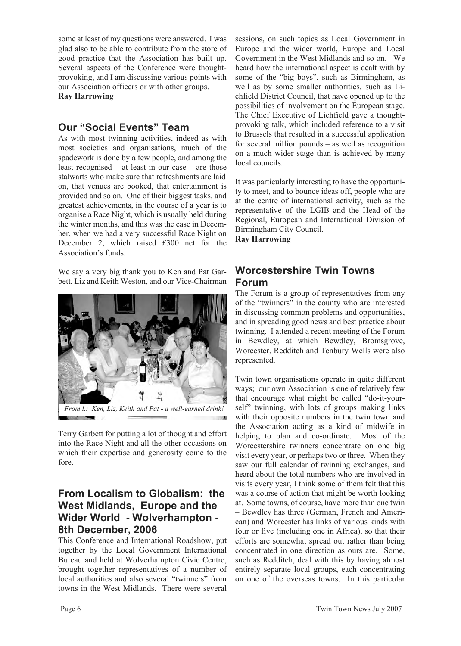some at least of my questions were answered. I was glad also to be able to contribute from the store of good practice that the Association has built up. Several aspects of the Conference were thoughtprovoking, and I am discussing various points with our Association officers or with other groups. **Ray Harrowing**

## **Our "Social Events" Team**

As with most twinning activities, indeed as with most societies and organisations, much of the spadework is done by a few people, and among the least recognised – at least in our case – are those stalwarts who make sure that refreshments are laid on, that venues are booked, that entertainment is provided and so on. One of their biggest tasks, and greatest achievements, in the course of a year is to organise a Race Night, which is usually held during the winter months, and this was the case in December, when we had a very successful Race Night on December 2, which raised £300 net for the Association's funds.

We say a very big thank you to Ken and Pat Garbett, Liz and Keith Weston, and our Vice-Chairman



*From l.: Ken, Liz, Keith and Pat - a well-earned drink!*

Terry Garbett for putting a lot of thought and effort into the Race Night and all the other occasions on which their expertise and generosity come to the fore.

# **From Localism to Globalism: the West Midlands, Europe and the Wider World - Wolverhampton - 8th December, 2006**

This Conference and International Roadshow, put together by the Local Government International Bureau and held at Wolverhampton Civic Centre, brought together representatives of a number of local authorities and also several "twinners" from towns in the West Midlands. There were several

sessions, on such topics as Local Government in Europe and the wider world, Europe and Local Government in the West Midlands and so on. We heard how the international aspect is dealt with by some of the "big boys", such as Birmingham, as well as by some smaller authorities, such as Lichfield District Council, that have opened up to the possibilities of involvement on the European stage. The Chief Executive of Lichfield gave a thoughtprovoking talk, which included reference to a visit to Brussels that resulted in a successful application for several million pounds – as well as recognition on a much wider stage than is achieved by many local councils.

It was particularly interesting to have the opportunity to meet, and to bounce ideas off, people who are at the centre of international activity, such as the representative of the LGIB and the Head of the Regional, European and International Division of Birmingham City Council.

**Ray Harrowing**

# **Worcestershire Twin Towns Forum**

The Forum is a group of representatives from any of the "twinners" in the county who are interested in discussing common problems and opportunities, and in spreading good news and best practice about twinning. I attended a recent meeting of the Forum in Bewdley, at which Bewdley, Bromsgrove, Worcester, Redditch and Tenbury Wells were also represented.

Twin town organisations operate in quite different ways; our own Association is one of relatively few that encourage what might be called "do-it-yourself" twinning, with lots of groups making links with their opposite numbers in the twin town and the Association acting as a kind of midwife in helping to plan and co-ordinate. Most of the Worcestershire twinners concentrate on one big visit every year, or perhaps two or three. When they saw our full calendar of twinning exchanges, and heard about the total numbers who are involved in visits every year, I think some of them felt that this was a course of action that might be worth looking at. Some towns, of course, have more than one twin – Bewdley has three (German, French and American) and Worcester has links of various kinds with four or five (including one in Africa), so that their efforts are somewhat spread out rather than being concentrated in one direction as ours are. Some, such as Redditch, deal with this by having almost entirely separate local groups, each concentrating on one of the overseas towns. In this particular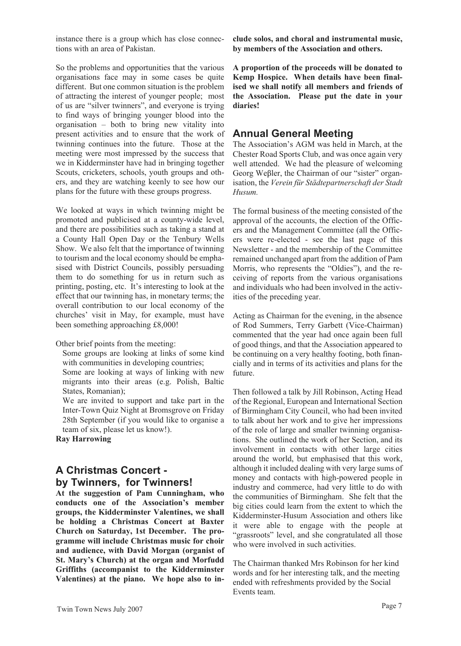instance there is a group which has close connections with an area of Pakistan.

So the problems and opportunities that the various organisations face may in some cases be quite different. But one common situation is the problem of attracting the interest of younger people; most of us are "silver twinners", and everyone is trying to find ways of bringing younger blood into the organisation – both to bring new vitality into present activities and to ensure that the work of twinning continues into the future. Those at the meeting were most impressed by the success that we in Kidderminster have had in bringing together Scouts, cricketers, schools, youth groups and others, and they are watching keenly to see how our plans for the future with these groups progress.

We looked at ways in which twinning might be promoted and publicised at a county-wide level, and there are possibilities such as taking a stand at a County Hall Open Day or the Tenbury Wells Show. We also felt that the importance of twinning to tourism and the local economy should be emphasised with District Councils, possibly persuading them to do something for us in return such as printing, posting, etc. It's interesting to look at the effect that our twinning has, in monetary terms; the overall contribution to our local economy of the churches' visit in May, for example, must have been something approaching £8,000!

Other brief points from the meeting:

Some groups are looking at links of some kind with communities in developing countries;

Some are looking at ways of linking with new migrants into their areas (e.g. Polish, Baltic States, Romanian);

We are invited to support and take part in the Inter-Town Quiz Night at Bromsgrove on Friday 28th September (if you would like to organise a team of six, please let us know!).

**Ray Harrowing**

# **A Christmas Concert by Twinners, for Twinners!**

**At the suggestion of Pam Cunningham, who conducts one of the Association's member groups, the Kidderminster Valentines, we shall be holding a Christmas Concert at Baxter Church on Saturday, 1st December. The programme will include Christmas music for choir and audience, with David Morgan (organist of St. Mary's Church) at the organ and Morfudd Griffiths (accompanist to the Kidderminster Valentines) at the piano. We hope also to in-** **clude solos, and choral and instrumental music, by members of the Association and others.**

**A proportion of the proceeds will be donated to Kemp Hospice. When details have been finalised we shall notify all members and friends of the Association. Please put the date in your diaries!**

#### **Annual General Meeting**

The Association's AGM was held in March, at the Chester Road Sports Club, and was once again very well attended. We had the pleasure of welcoming Georg We $\beta$ ler, the Chairman of our "sister" organisation, the *Verein für Städtepartnerschaft der Stadt Husum.*

The formal business of the meeting consisted of the approval of the accounts, the election of the Officers and the Management Committee (all the Officers were re-elected - see the last page of this Newsletter - and the membership of the Committee remained unchanged apart from the addition of Pam Morris, who represents the "Oldies"), and the receiving of reports from the various organisations and individuals who had been involved in the activities of the preceding year.

Acting as Chairman for the evening, in the absence of Rod Summers, Terry Garbett (Vice-Chairman) commented that the year had once again been full of good things, and that the Association appeared to be continuing on a very healthy footing, both financially and in terms of its activities and plans for the future.

Then followed a talk by Jill Robinson, Acting Head of the Regional, European and International Section of Birmingham City Council, who had been invited to talk about her work and to give her impressions of the role of large and smaller twinning organisations. She outlined the work of her Section, and its involvement in contacts with other large cities around the world, but emphasised that this work, although it included dealing with very large sums of money and contacts with high-powered people in industry and commerce, had very little to do with the communities of Birmingham. She felt that the big cities could learn from the extent to which the Kidderminster-Husum Association and others like it were able to engage with the people at "grassroots" level, and she congratulated all those who were involved in such activities.

The Chairman thanked Mrs Robinson for her kind words and for her interesting talk, and the meeting ended with refreshments provided by the Social Events team.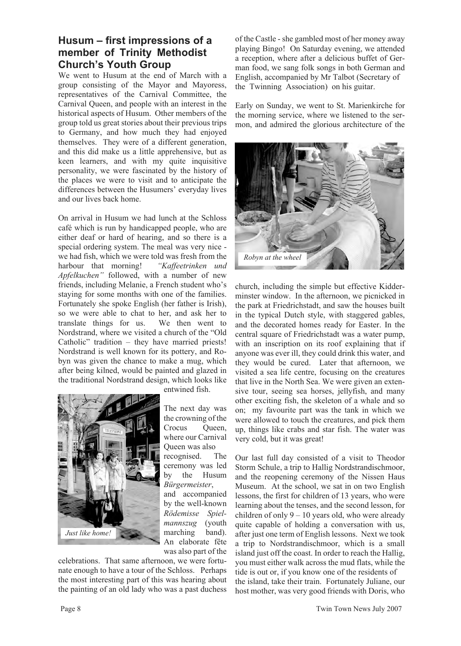## **Husum – first impressions of a member of Trinity Methodist Church's Youth Group**

We went to Husum at the end of March with a group consisting of the Mayor and Mayoress, representatives of the Carnival Committee, the Carnival Queen, and people with an interest in the historical aspects of Husum. Other members of the group told us great stories about their previous trips to Germany, and how much they had enjoyed themselves. They were of a different generation, and this did make us a little apprehensive, but as keen learners, and with my quite inquisitive personality, we were fascinated by the history of the places we were to visit and to anticipate the differences between the Husumers' everyday lives and our lives back home.

On arrival in Husum we had lunch at the Schloss café which is run by handicapped people, who are either deaf or hard of hearing, and so there is a special ordering system. The meal was very nice we had fish, which we were told was fresh from the harbour that morning! *"Kaffeetrinken und Apfelkuchen"* followed, with a number of new friends, including Melanie, a French student who's staying for some months with one of the families. Fortunately she spoke English (her father is Irish), so we were able to chat to her, and ask her to translate things for us. We then went to Nordstrand, where we visited a church of the "Old Catholic" tradition – they have married priests! Nordstrand is well known for its pottery, and Robyn was given the chance to make a mug, which after being kilned, would be painted and glazed in the traditional Nordstrand design, which looks like



entwined fish.

The next day was the crowning of the Crocus Oueen, where our Carnival Queen was also recognised. The ceremony was led by the Husum *Bürgermeister*, and accompanied by the well-known *Rödemisse Spielmannszug* (youth marching band). An elaborate fête was also part of the

celebrations. That same afternoon, we were fortunate enough to have a tour of the Schloss. Perhaps the most interesting part of this was hearing about the painting of an old lady who was a past duchess of the Castle - she gambled most of her money away playing Bingo! On Saturday evening, we attended a reception, where after a delicious buffet of German food, we sang folk songs in both German and English, accompanied by Mr Talbot (Secretary of the Twinning Association) on his guitar.

Early on Sunday, we went to St. Marienkirche for the morning service, where we listened to the sermon, and admired the glorious architecture of the



church, including the simple but effective Kidderminster window. In the afternoon, we picnicked in the park at Friedrichstadt, and saw the houses built in the typical Dutch style, with staggered gables, and the decorated homes ready for Easter. In the central square of Friedrichstadt was a water pump, with an inscription on its roof explaining that if anyone was ever ill, they could drink this water, and they would be cured. Later that afternoon, we visited a sea life centre, focusing on the creatures that live in the North Sea. We were given an extensive tour, seeing sea horses, jellyfish, and many other exciting fish, the skeleton of a whale and so on; my favourite part was the tank in which we were allowed to touch the creatures, and pick them up, things like crabs and star fish. The water was very cold, but it was great!

Our last full day consisted of a visit to Theodor Storm Schule, a trip to Hallig Nordstrandischmoor, and the reopening ceremony of the Nissen Haus Museum. At the school, we sat in on two English lessons, the first for children of 13 years, who were learning about the tenses, and the second lesson, for children of only  $9 - 10$  years old, who were already quite capable of holding a conversation with us, after just one term of English lessons. Next we took a trip to Nordstrandischmoor, which is a small island just off the coast. In order to reach the Hallig, you must either walk across the mud flats, while the tide is out or, if you know one of the residents of the island, take their train. Fortunately Juliane, our host mother, was very good friends with Doris, who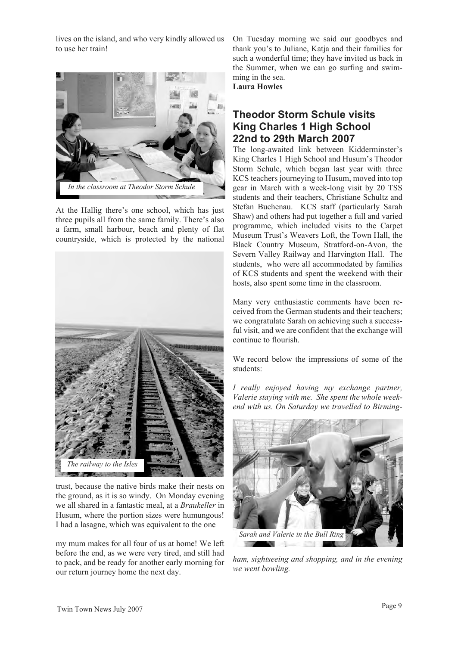lives on the island, and who very kindly allowed us to use her train!



At the Hallig there's one school, which has just three pupils all from the same family. There's also a farm, small harbour, beach and plenty of flat countryside, which is protected by the national



trust, because the native birds make their nests on the ground, as it is so windy. On Monday evening we all shared in a fantastic meal, at a *Braukeller* in Husum, where the portion sizes were humungous! I had a lasagne, which was equivalent to the one

my mum makes for all four of us at home! We left before the end, as we were very tired, and still had to pack, and be ready for another early morning for our return journey home the next day.

On Tuesday morning we said our goodbyes and thank you's to Juliane, Katja and their families for such a wonderful time; they have invited us back in the Summer, when we can go surfing and swimming in the sea.

**Laura Howles**

# **Theodor Storm Schule visits King Charles 1 High School 22nd to 29th March 2007**

The long-awaited link between Kidderminster's King Charles 1 High School and Husum's Theodor Storm Schule, which began last year with three KCS teachers journeying to Husum, moved into top gear in March with a week-long visit by 20 TSS students and their teachers, Christiane Schultz and Stefan Buchenau. KCS staff (particularly Sarah Shaw) and others had put together a full and varied programme, which included visits to the Carpet Museum Trust's Weavers Loft, the Town Hall, the Black Country Museum, Stratford-on-Avon, the Severn Valley Railway and Harvington Hall. The students, who were all accommodated by families of KCS students and spent the weekend with their hosts, also spent some time in the classroom.

Many very enthusiastic comments have been received from the German students and their teachers; we congratulate Sarah on achieving such a successful visit, and we are confident that the exchange will continue to flourish.

We record below the impressions of some of the students:

*I really enjoyed having my exchange partner, Valerie staying with me. She spent the whole weekend with us. On Saturday we travelled to Birming-*



*ham, sightseeing and shopping, and in the evening we went bowling.*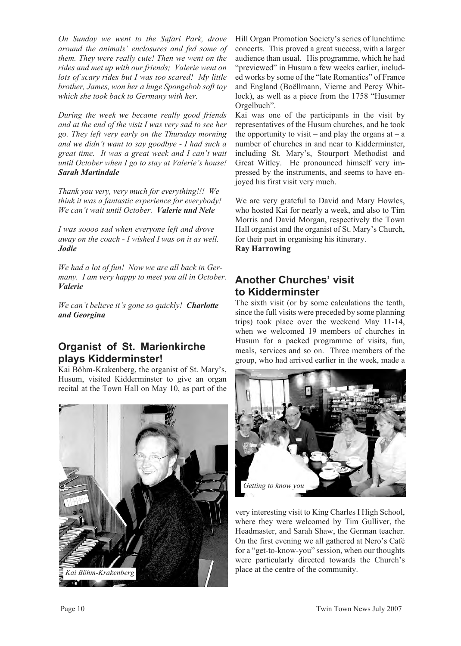*On Sunday we went to the Safari Park, drove around the animals' enclosures and fed some of them. They were really cute! Then we went on the rides and met up with our friends; Valerie went on lots of scary rides but I was too scared! My little brother, James, won her a huge Spongebob soft toy which she took back to Germany with her.*

*During the week we became really good friends and at the end of the visit I was very sad to see her go. They left very early on the Thursday morning and we didn't want to say goodbye - I had such a great time. It was a great week and I can't wait until October when I go to stay at Valerie's house! Sarah Martindale*

*Thank you very, very much for everything!!! We think it was a fantastic experience for everybody! We can't wait until October. Valerie und Nele*

*I was soooo sad when everyone left and drove away on the coach - I wished I was on it as well. Jodie*

*We had a lot of fun! Now we are all back in Germany. I am very happy to meet you all in October. Valerie*

*We can't believe it's gone so quickly! Charlotte and Georgina*

# **Organist of St. Marienkirche plays Kidderminster!**

Kai Böhm-Krakenberg, the organist of St. Mary's, Husum, visited Kidderminster to give an organ recital at the Town Hall on May 10, as part of the



Hill Organ Promotion Society's series of lunchtime concerts. This proved a great success, with a larger audience than usual. His programme, which he had "previewed" in Husum a few weeks earlier, included works by some of the "late Romantics" of France and England (Boëllmann, Vierne and Percy Whitlock), as well as a piece from the 1758 "Husumer Orgelbuch".

Kai was one of the participants in the visit by representatives of the Husum churches, and he took the opportunity to visit – and play the organs at – a number of churches in and near to Kidderminster, including St. Mary's, Stourport Methodist and Great Witley. He pronounced himself very impressed by the instruments, and seems to have enjoyed his first visit very much.

We are very grateful to David and Mary Howles, who hosted Kai for nearly a week, and also to Tim Morris and David Morgan, respectively the Town Hall organist and the organist of St. Mary's Church, for their part in organising his itinerary. **Ray Harrowing**

# **Another Churches' visit to Kidderminster**

The sixth visit (or by some calculations the tenth, since the full visits were preceded by some planning trips) took place over the weekend May 11-14, when we welcomed 19 members of churches in Husum for a packed programme of visits, fun, meals, services and so on. Three members of the group, who had arrived earlier in the week, made a



very interesting visit to King Charles I High School, where they were welcomed by Tim Gulliver, the Headmaster, and Sarah Shaw, the German teacher. On the first evening we all gathered at Nero's Café for a "get-to-know-you" session, when our thoughts were particularly directed towards the Church's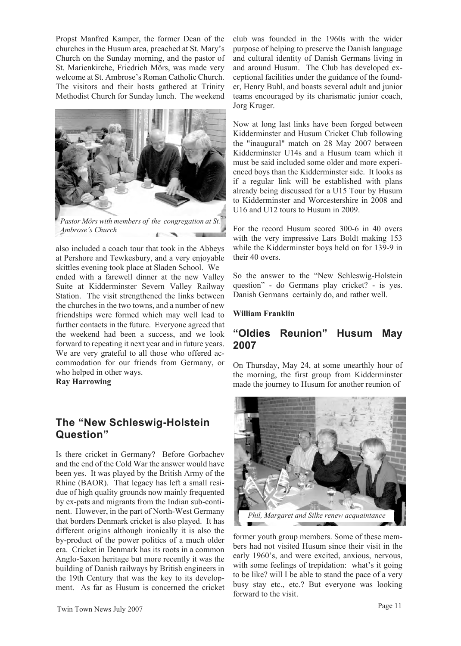Propst Manfred Kamper, the former Dean of the churches in the Husum area, preached at St. Mary's Church on the Sunday morning, and the pastor of St. Marienkirche, Friedrich Mörs, was made very welcome at St. Ambrose's Roman Catholic Church. The visitors and their hosts gathered at Trinity Methodist Church for Sunday lunch. The weekend



also included a coach tour that took in the Abbeys at Pershore and Tewkesbury, and a very enjoyable skittles evening took place at Sladen School. We ended with a farewell dinner at the new Valley Suite at Kidderminster Severn Valley Railway Station. The visit strengthened the links between the churches in the two towns, and a number of new friendships were formed which may well lead to further contacts in the future. Everyone agreed that the weekend had been a success, and we look forward to repeating it next year and in future years. We are very grateful to all those who offered accommodation for our friends from Germany, or who helped in other ways.

**Ray Harrowing**

# **The "New Schleswig-Holstein Question"**

Is there cricket in Germany? Before Gorbachev and the end of the Cold War the answer would have been yes. It was played by the British Army of the Rhine (BAOR). That legacy has left a small residue of high quality grounds now mainly frequented by ex-pats and migrants from the Indian sub-continent. However, in the part of North-West Germany that borders Denmark cricket is also played. It has different origins although ironically it is also the by-product of the power politics of a much older era. Cricket in Denmark has its roots in a common Anglo-Saxon heritage but more recently it was the building of Danish railways by British engineers in the 19th Century that was the key to its development. As far as Husum is concerned the cricket club was founded in the 1960s with the wider purpose of helping to preserve the Danish language and cultural identity of Danish Germans living in and around Husum. The Club has developed exceptional facilities under the guidance of the founder, Henry Buhl, and boasts several adult and junior teams encouraged by its charismatic junior coach, Jorg Kruger.

Now at long last links have been forged between Kidderminster and Husum Cricket Club following the "inaugural" match on 28 May 2007 between Kidderminster U14s and a Husum team which it must be said included some older and more experienced boys than the Kidderminster side. It looks as if a regular link will be established with plans already being discussed for a U15 Tour by Husum to Kidderminster and Worcestershire in 2008 and U16 and U12 tours to Husum in 2009.

For the record Husum scored 300-6 in 40 overs with the very impressive Lars Boldt making 153 while the Kidderminster boys held on for 139-9 in their 40 overs.

So the answer to the "New Schleswig-Holstein question" - do Germans play cricket? - is yes. Danish Germans certainly do, and rather well.

#### **William Franklin**

### **"Oldies Reunion" Husum May 2007**

On Thursday, May 24, at some unearthly hour of the morning, the first group from Kidderminster made the journey to Husum for another reunion of



former youth group members. Some of these members had not visited Husum since their visit in the early 1960's, and were excited, anxious, nervous, with some feelings of trepidation: what's it going to be like? will I be able to stand the pace of a very busy stay etc., etc.? But everyone was looking forward to the visit.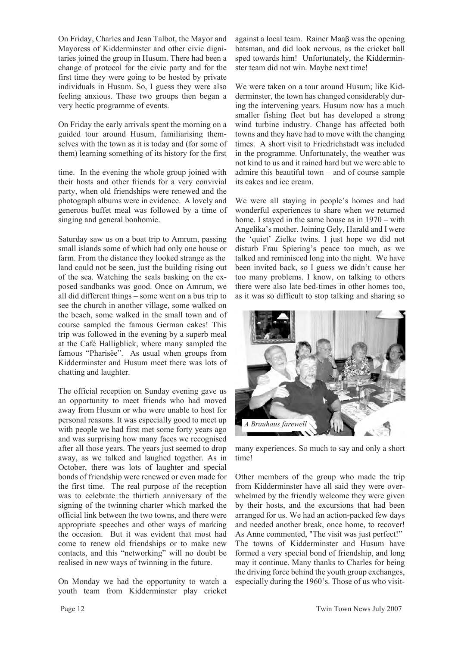On Friday, Charles and Jean Talbot, the Mayor and Mayoress of Kidderminster and other civic dignitaries joined the group in Husum. There had been a change of protocol for the civic party and for the first time they were going to be hosted by private individuals in Husum. So, I guess they were also feeling anxious. These two groups then began a very hectic programme of events.

On Friday the early arrivals spent the morning on a guided tour around Husum, familiarising themselves with the town as it is today and (for some of them) learning something of its history for the first

time. In the evening the whole group joined with their hosts and other friends for a very convivial party, when old friendships were renewed and the photograph albums were in evidence. A lovely and generous buffet meal was followed by a time of singing and general bonhomie.

Saturday saw us on a boat trip to Amrum, passing small islands some of which had only one house or farm. From the distance they looked strange as the land could not be seen, just the building rising out of the sea. Watching the seals basking on the exposed sandbanks was good. Once on Amrum, we all did different things – some went on a bus trip to see the church in another village, some walked on the beach, some walked in the small town and of course sampled the famous German cakes! This trip was followed in the evening by a superb meal at the Café Halligblick, where many sampled the famous "Pharisëe". As usual when groups from Kidderminster and Husum meet there was lots of chatting and laughter.

The official reception on Sunday evening gave us an opportunity to meet friends who had moved away from Husum or who were unable to host for personal reasons. It was especially good to meet up with people we had first met some forty years ago and was surprising how many faces we recognised after all those years. The years just seemed to drop away, as we talked and laughed together. As in October, there was lots of laughter and special bonds of friendship were renewed or even made for the first time. The real purpose of the reception was to celebrate the thirtieth anniversary of the signing of the twinning charter which marked the official link between the two towns, and there were appropriate speeches and other ways of marking the occasion. But it was evident that most had come to renew old friendships or to make new contacts, and this "networking" will no doubt be realised in new ways of twinning in the future.

On Monday we had the opportunity to watch a youth team from Kidderminster play cricket

against a local team. Rainer  $Maaf$  was the opening batsman, and did look nervous, as the cricket ball sped towards him! Unfortunately, the Kidderminster team did not win. Maybe next time!

We were taken on a tour around Husum; like Kidderminster, the town has changed considerably during the intervening years. Husum now has a much smaller fishing fleet but has developed a strong wind turbine industry. Change has affected both towns and they have had to move with the changing times. A short visit to Friedrichstadt was included in the programme. Unfortunately, the weather was not kind to us and it rained hard but we were able to admire this beautiful town – and of course sample its cakes and ice cream.

We were all staying in people's homes and had wonderful experiences to share when we returned home. I stayed in the same house as in 1970 – with Angelika's mother. Joining Gely, Harald and I were the 'quiet' Zielke twins. I just hope we did not disturb Frau Spiering's peace too much, as we talked and reminisced long into the night. We have been invited back, so I guess we didn't cause her too many problems. I know, on talking to others there were also late bed-times in other homes too, as it was so difficult to stop talking and sharing so



many experiences. So much to say and only a short time!

Other members of the group who made the trip from Kidderminster have all said they were overwhelmed by the friendly welcome they were given by their hosts, and the excursions that had been arranged for us. We had an action-packed few days and needed another break, once home, to recover! As Anne commented, "The visit was just perfect!" The towns of Kidderminster and Husum have formed a very special bond of friendship, and long may it continue. Many thanks to Charles for being the driving force behind the youth group exchanges, especially during the 1960's. Those of us who visit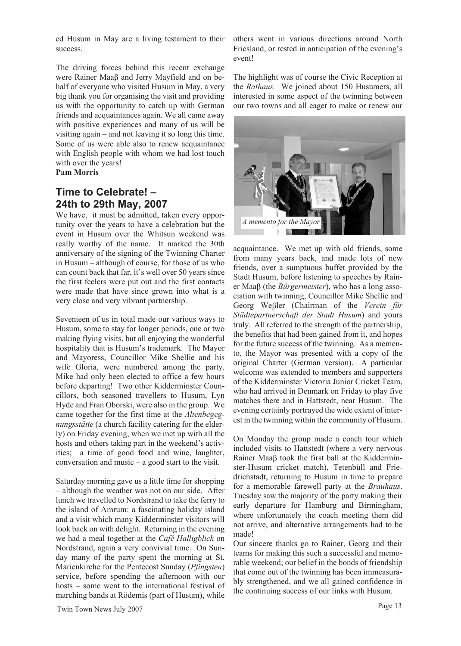ed Husum in May are a living testament to their success.

The driving forces behind this recent exchange were Rainer Maaß and Jerry Mayfield and on behalf of everyone who visited Husum in May, a very big thank you for organising the visit and providing us with the opportunity to catch up with German friends and acquaintances again. We all came away with positive experiences and many of us will be visiting again – and not leaving it so long this time. Some of us were able also to renew acquaintance with English people with whom we had lost touch with over the years!

### **Pam Morris**

# **Time to Celebrate! – 24th to 29th May, 2007**

We have, it must be admitted, taken every opportunity over the years to have a celebration but the event in Husum over the Whitsun weekend was really worthy of the name. It marked the 30th anniversary of the signing of the Twinning Charter in Husum – although of course, for those of us who can count back that far, it's well over 50 years since the first feelers were put out and the first contacts were made that have since grown into what is a very close and very vibrant partnership.

Seventeen of us in total made our various ways to Husum, some to stay for longer periods, one or two making flying visits, but all enjoying the wonderful hospitality that is Husum's trademark. The Mayor and Mayoress, Councillor Mike Shellie and his wife Gloria, were numbered among the party. Mike had only been elected to office a few hours before departing! Two other Kidderminster Councillors, both seasoned travellers to Husum, Lyn Hyde and Fran Oborski, were also in the group. We came together for the first time at the *Altenbegegnungsstätte* (a church facility catering for the elderly) on Friday evening, when we met up with all the hosts and others taking part in the weekend's activities; a time of good food and wine, laughter, conversation and music – a good start to the visit.

Saturday morning gave us a little time for shopping – although the weather was not on our side. After lunch we travelled to Nordstrand to take the ferry to the island of Amrum: a fascinating holiday island and a visit which many Kidderminster visitors will look back on with delight. Returning in the evening we had a meal together at the *Café Halligblick* on Nordstrand, again a very convivial time. On Sunday many of the party spent the morning at St. Marienkirche for the Pentecost Sunday (*Pfingsten*) service, before spending the afternoon with our hosts – some went to the international festival of marching bands at Rödemis (part of Husum), while others went in various directions around North Friesland, or rested in anticipation of the evening's event!

The highlight was of course the Civic Reception at the *Rathaus.* We joined about 150 Husumers, all interested in some aspect of the twinning between our two towns and all eager to make or renew our



acquaintance. We met up with old friends, some from many years back, and made lots of new friends, over a sumptuous buffet provided by the Stadt Husum, before listening to speeches by Rainer Maa<sub>B</sub> (the *Bürgermeister*), who has a long association with twinning, Councillor Mike Shellie and Georg Weßler (Chairman of the Verein für *Städtepartnerschaft der Stadt Husum*) and yours truly. All referred to the strength of the partnership, the benefits that had been gained from it, and hopes for the future success of the twinning. As a memento, the Mayor was presented with a copy of the original Charter (German version). A particular welcome was extended to members and supporters of the Kidderminster Victoria Junior Cricket Team, who had arrived in Denmark on Friday to play five matches there and in Hattstedt, near Husum. The evening certainly portrayed the wide extent of interest in the twinning within the community of Husum.

On Monday the group made a coach tour which included visits to Hattstedt (where a very nervous Rainer Maa $\beta$  took the first ball at the Kidderminster-Husum cricket match), Tetenbüll and Friedrichstadt, returning to Husum in time to prepare for a memorable farewell party at the *Brauhaus*. Tuesday saw the majority of the party making their early departure for Hamburg and Birmingham, where unfortunately the coach meeting them did not arrive, and alternative arrangements had to be made!

Our sincere thanks go to Rainer, Georg and their teams for making this such a successful and memorable weekend; our belief in the bonds of friendship that come out of the twinning has been immeasurably strengthened, and we all gained confidence in the continuing success of our links with Husum.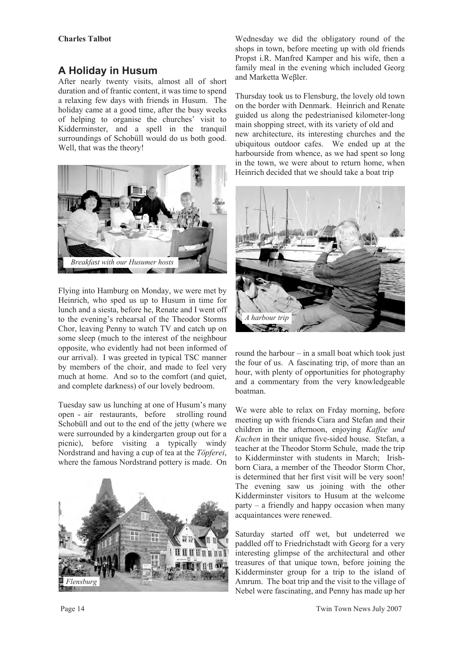# **A Holiday in Husum**

After nearly twenty visits, almost all of short duration and of frantic content, it was time to spend a relaxing few days with friends in Husum. The holiday came at a good time, after the busy weeks of helping to organise the churches' visit to Kidderminster, and a spell in the tranquil surroundings of Schobüll would do us both good. Well, that was the theory!



Flying into Hamburg on Monday, we were met by Heinrich, who sped us up to Husum in time for lunch and a siesta, before he, Renate and I went off to the evening's rehearsal of the Theodor Storms Chor, leaving Penny to watch TV and catch up on some sleep (much to the interest of the neighbour opposite, who evidently had not been informed of our arrival). I was greeted in typical TSC manner by members of the choir, and made to feel very much at home. And so to the comfort (and quiet, and complete darkness) of our lovely bedroom.

Tuesday saw us lunching at one of Husum's many open - air restaurants, before strolling round Schobüll and out to the end of the jetty (where we were surrounded by a kindergarten group out for a picnic), before visiting a typically windy Nordstrand and having a cup of tea at the *Töpferei*, where the famous Nordstrand pottery is made. On



Wednesday we did the obligatory round of the shops in town, before meeting up with old friends Propst i.R. Manfred Kamper and his wife, then a family meal in the evening which included Georg and Marketta Weßler.

Thursday took us to Flensburg, the lovely old town on the border with Denmark. Heinrich and Renate guided us along the pedestrianised kilometer-long main shopping street, with its variety of old and new architecture, its interesting churches and the ubiquitous outdoor cafes. We ended up at the harbourside from whence, as we had spent so long in the town, we were about to return home, when Heinrich decided that we should take a boat trip



round the harbour – in a small boat which took just the four of us. A fascinating trip, of more than an hour, with plenty of opportunities for photography and a commentary from the very knowledgeable boatman.

We were able to relax on Frday morning, before meeting up with friends Ciara and Stefan and their children in the afternoon, enjoying *Kaffee und Kuchen* in their unique five-sided house. Stefan, a teacher at the Theodor Storm Schule, made the trip to Kidderminster with students in March; Irishborn Ciara, a member of the Theodor Storm Chor, is determined that her first visit will be very soon! The evening saw us joining with the other Kidderminster visitors to Husum at the welcome party – a friendly and happy occasion when many acquaintances were renewed.

Saturday started off wet, but undeterred we paddled off to Friedrichstadt with Georg for a very interesting glimpse of the architectural and other treasures of that unique town, before joining the Kidderminster group for a trip to the island of Amrum. The boat trip and the visit to the village of Nebel were fascinating, and Penny has made up her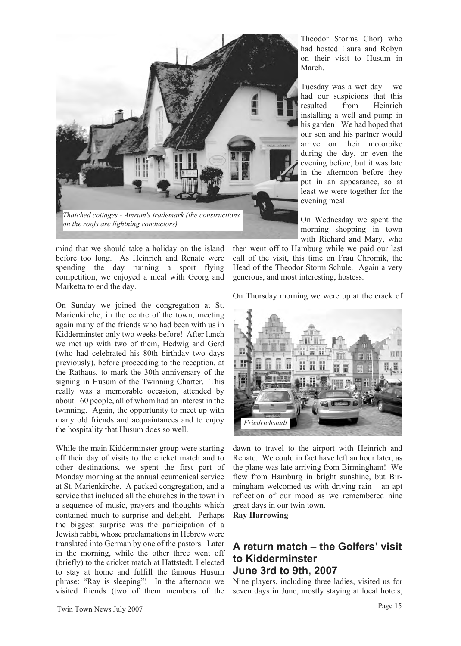

mind that we should take a holiday on the island before too long. As Heinrich and Renate were spending the day running a sport flying competition, we enjoyed a meal with Georg and Marketta to end the day.

On Sunday we joined the congregation at St. Marienkirche, in the centre of the town, meeting again many of the friends who had been with us in Kidderminster only two weeks before! After lunch we met up with two of them, Hedwig and Gerd (who had celebrated his 80th birthday two days previously), before proceeding to the reception, at the Rathaus, to mark the 30th anniversary of the signing in Husum of the Twinning Charter. This really was a memorable occasion, attended by about 160 people, all of whom had an interest in the twinning. Again, the opportunity to meet up with many old friends and acquaintances and to enjoy the hospitality that Husum does so well.

While the main Kidderminster group were starting off their day of visits to the cricket match and to other destinations, we spent the first part of Monday morning at the annual ecumenical service at St. Marienkirche. A packed congregation, and a service that included all the churches in the town in a sequence of music, prayers and thoughts which contained much to surprise and delight. Perhaps the biggest surprise was the participation of a Jewish rabbi, whose proclamations in Hebrew were translated into German by one of the pastors. Later in the morning, while the other three went off (briefly) to the cricket match at Hattstedt, I elected to stay at home and fulfill the famous Husum phrase: "Ray is sleeping"! In the afternoon we visited friends (two of them members of the Theodor Storms Chor) who had hosted Laura and Robyn on their visit to Husum in March.

Tuesday was a wet day – we had our suspicions that this resulted from Heinrich installing a well and pump in his garden! We had hoped that our son and his partner would arrive on their motorbike during the day, or even the evening before, but it was late in the afternoon before they put in an appearance, so at least we were together for the evening meal.

On Wednesday we spent the morning shopping in town with Richard and Mary, who

then went off to Hamburg while we paid our last call of the visit, this time on Frau Chromik, the Head of the Theodor Storm Schule. Again a very generous, and most interesting, hostess.

On Thursday morning we were up at the crack of



dawn to travel to the airport with Heinrich and Renate. We could in fact have left an hour later, as the plane was late arriving from Birmingham! We flew from Hamburg in bright sunshine, but Birmingham welcomed us with driving rain  $-$  an apt reflection of our mood as we remembered nine great days in our twin town.

**Ray Harrowing**

### **A return match – the Golfers' visit to Kidderminster June 3rd to 9th, 2007**

Nine players, including three ladies, visited us for seven days in June, mostly staying at local hotels,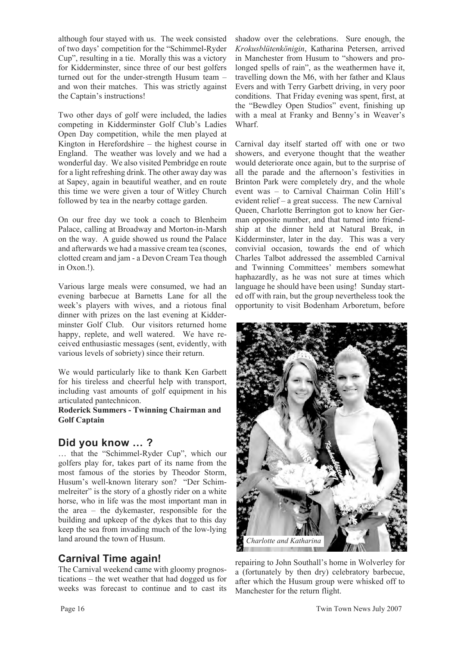although four stayed with us. The week consisted of two days' competition for the "Schimmel-Ryder Cup", resulting in a tie. Morally this was a victory for Kidderminster, since three of our best golfers turned out for the under-strength Husum team – and won their matches. This was strictly against the Captain's instructions!

Two other days of golf were included, the ladies competing in Kidderminster Golf Club's Ladies Open Day competition, while the men played at Kington in Herefordshire – the highest course in England. The weather was lovely and we had a wonderful day. We also visited Pembridge en route for a light refreshing drink. The other away day was at Sapey, again in beautiful weather, and en route this time we were given a tour of Witley Church followed by tea in the nearby cottage garden.

On our free day we took a coach to Blenheim Palace, calling at Broadway and Morton-in-Marsh on the way. A guide showed us round the Palace and afterwards we had a massive cream tea (scones, clotted cream and jam - a Devon Cream Tea though in Oxon.!).

Various large meals were consumed, we had an evening barbecue at Barnetts Lane for all the week's players with wives, and a riotous final dinner with prizes on the last evening at Kidderminster Golf Club. Our visitors returned home happy, replete, and well watered. We have received enthusiastic messages (sent, evidently, with various levels of sobriety) since their return.

We would particularly like to thank Ken Garbett for his tireless and cheerful help with transport, including vast amounts of golf equipment in his articulated pantechnicon.

**Roderick Summers - Twinning Chairman and Golf Captain**

### **Did you know … ?**

… that the "Schimmel-Ryder Cup", which our golfers play for, takes part of its name from the most famous of the stories by Theodor Storm, Husum's well-known literary son? "Der Schimmelreiter" is the story of a ghostly rider on a white horse, who in life was the most important man in the area – the dykemaster, responsible for the building and upkeep of the dykes that to this day keep the sea from invading much of the low-lying land around the town of Husum.

# **Carnival Time again!**

The Carnival weekend came with gloomy prognostications – the wet weather that had dogged us for weeks was forecast to continue and to cast its shadow over the celebrations. Sure enough, the *Krokusblütenkönigin*, Katharina Petersen, arrived in Manchester from Husum to "showers and prolonged spells of rain", as the weathermen have it, travelling down the M6, with her father and Klaus Evers and with Terry Garbett driving, in very poor conditions. That Friday evening was spent, first, at the "Bewdley Open Studios" event, finishing up with a meal at Franky and Benny's in Weaver's Wharf.

Carnival day itself started off with one or two showers, and everyone thought that the weather would deteriorate once again, but to the surprise of all the parade and the afternoon's festivities in Brinton Park were completely dry, and the whole event was – to Carnival Chairman Colin Hill's evident relief – a great success. The new Carnival Queen, Charlotte Berrington got to know her German opposite number, and that turned into friendship at the dinner held at Natural Break, in Kidderminster, later in the day. This was a very convivial occasion, towards the end of which Charles Talbot addressed the assembled Carnival and Twinning Committees' members somewhat haphazardly, as he was not sure at times which language he should have been using! Sunday started off with rain, but the group nevertheless took the opportunity to visit Bodenham Arboretum, before



repairing to John Southall's home in Wolverley for a (fortunately by then dry) celebratory barbecue, after which the Husum group were whisked off to Manchester for the return flight.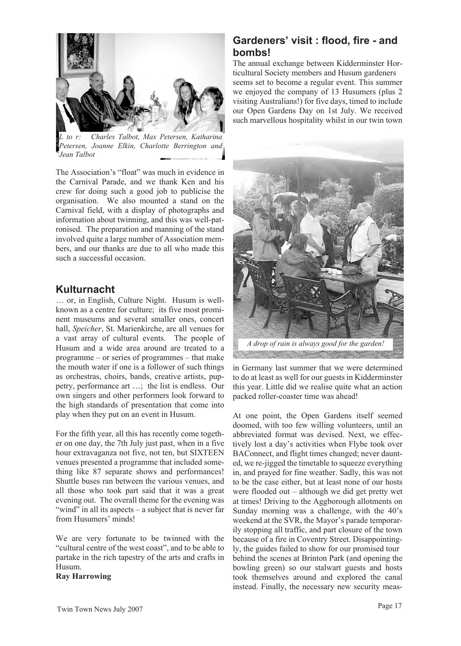

*L to r: Charles Talbot, Max Petersen, Katharina Petersen, Joanne Elkin, Charlotte Berrington and Jean Talbot*

The Association's "float" was much in evidence in the Carnival Parade, and we thank Ken and his crew for doing such a good job to publicise the organisation. We also mounted a stand on the Carnival field, with a display of photographs and information about twinning, and this was well-patronised. The preparation and manning of the stand involved quite a large number of Association members, and our thanks are due to all who made this such a successful occasion.

### **Kulturnacht**

… or, in English, Culture Night. Husum is wellknown as a centre for culture; its five most prominent museums and several smaller ones, concert hall, *Speicher*, St. Marienkirche, are all venues for a vast array of cultural events. The people of Husum and a wide area around are treated to a programme – or series of programmes – that make the mouth water if one is a follower of such things as orchestras, choirs, bands, creative artists, puppetry, performance art …; the list is endless. Our own singers and other performers look forward to the high standards of presentation that come into play when they put on an event in Husum.

For the fifth year, all this has recently come together on one day, the 7th July just past, when in a five hour extravaganza not five, not ten, but SIXTEEN venues presented a programme that included something like 87 separate shows and performances! Shuttle buses ran between the various venues, and all those who took part said that it was a great evening out. The overall theme for the evening was "wind" in all its aspects – a subject that is never far from Husumers' minds!

We are very fortunate to be twinned with the "cultural centre of the west coast", and to be able to partake in the rich tapestry of the arts and crafts in Husum.

#### **Ray Harrowing**

## **Gardeners' visit : flood, fire - and bombs!**

The annual exchange between Kidderminster Horticultural Society members and Husum gardeners seems set to become a regular event. This summer we enjoyed the company of 13 Husumers (plus 2 visiting Australians!) for five days, timed to include our Open Gardens Day on 1st July. We received such marvellous hospitality whilst in our twin town



in Germany last summer that we were determined to do at least as well for our guests in Kidderminster this year. Little did we realise quite what an action packed roller-coaster time was ahead!

At one point, the Open Gardens itself seemed doomed, with too few willing volunteers, until an abbreviated format was devised. Next, we effectively lost a day's activities when Flybe took over BAConnect, and flight times changed; never daunted, we re-jigged the timetable to squeeze everything in, and prayed for fine weather. Sadly, this was not to be the case either, but at least none of our hosts were flooded out – although we did get pretty wet at times! Driving to the Aggborough allotments on Sunday morning was a challenge, with the 40's weekend at the SVR, the Mayor's parade temporarily stopping all traffic, and part closure of the town because of a fire in Coventry Street. Disappointingly, the guides failed to show for our promised tour behind the scenes at Brinton Park (and opening the bowling green) so our stalwart guests and hosts took themselves around and explored the canal instead. Finally, the necessary new security meas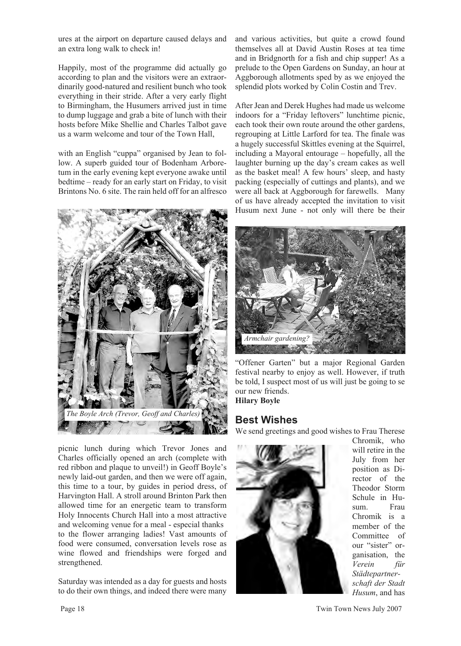ures at the airport on departure caused delays and an extra long walk to check in!

Happily, most of the programme did actually go according to plan and the visitors were an extraordinarily good-natured and resilient bunch who took everything in their stride. After a very early flight to Birmingham, the Husumers arrived just in time to dump luggage and grab a bite of lunch with their hosts before Mike Shellie and Charles Talbot gave us a warm welcome and tour of the Town Hall,

with an English "cuppa" organised by Jean to follow. A superb guided tour of Bodenham Arboretum in the early evening kept everyone awake until bedtime – ready for an early start on Friday, to visit Brintons No. 6 site. The rain held off for an alfresco



picnic lunch during which Trevor Jones and Charles officially opened an arch (complete with red ribbon and plaque to unveil!) in Geoff Boyle's newly laid-out garden, and then we were off again, this time to a tour, by guides in period dress, of Harvington Hall. A stroll around Brinton Park then allowed time for an energetic team to transform Holy Innocents Church Hall into a most attractive and welcoming venue for a meal - especial thanks to the flower arranging ladies! Vast amounts of food were consumed, conversation levels rose as wine flowed and friendships were forged and strengthened.

Saturday was intended as a day for guests and hosts to do their own things, and indeed there were many and various activities, but quite a crowd found themselves all at David Austin Roses at tea time and in Bridgnorth for a fish and chip supper! As a prelude to the Open Gardens on Sunday, an hour at Aggborough allotments sped by as we enjoyed the splendid plots worked by Colin Costin and Trev.

After Jean and Derek Hughes had made us welcome indoors for a "Friday leftovers" lunchtime picnic, each took their own route around the other gardens, regrouping at Little Larford for tea. The finale was a hugely successful Skittles evening at the Squirrel, including a Mayoral entourage – hopefully, all the laughter burning up the day's cream cakes as well as the basket meal! A few hours' sleep, and hasty packing (especially of cuttings and plants), and we were all back at Aggborough for farewells. Many of us have already accepted the invitation to visit Husum next June - not only will there be their



"Offener Garten" but a major Regional Garden festival nearby to enjoy as well. However, if truth be told, I suspect most of us will just be going to se our new friends. **Hilary Boyle**

### **Best Wishes**

We send greetings and good wishes to Frau Therese



Chromik, who will retire in the July from her position as Director of the Theodor Storm Schule in Hu-<br>sum Frau sum. Chromik is a member of the Committee of our "sister" organisation, the *Verein für Städtepartnerschaft der Stadt Husum*, and has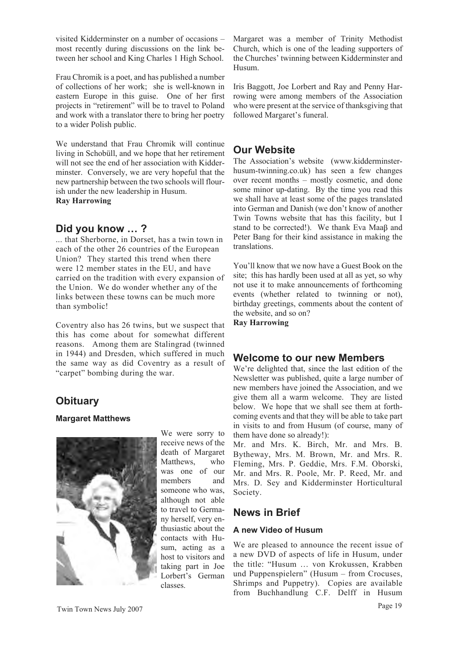visited Kidderminster on a number of occasions – most recently during discussions on the link between her school and King Charles 1 High School.

Frau Chromik is a poet, and has published a number of collections of her work; she is well-known in eastern Europe in this guise. One of her first projects in "retirement" will be to travel to Poland and work with a translator there to bring her poetry to a wider Polish public.

We understand that Frau Chromik will continue living in Schobüll, and we hope that her retirement will not see the end of her association with Kidderminster. Conversely, we are very hopeful that the new partnership between the two schools will flourish under the new leadership in Husum. **Ray Harrowing**

### **Did you know … ?**

... that Sherborne, in Dorset, has a twin town in each of the other 26 countries of the European Union? They started this trend when there were 12 member states in the EU, and have carried on the tradition with every expansion of the Union. We do wonder whether any of the links between these towns can be much more than symbolic!

Coventry also has 26 twins, but we suspect that this has come about for somewhat different reasons. Among them are Stalingrad (twinned in 1944) and Dresden, which suffered in much the same way as did Coventry as a result of "carpet" bombing during the war.

# **Obituary**

#### **Margaret Matthews**



We were sorry to receive news of the death of Margaret Matthews, who was one of our members and someone who was, although not able to travel to Germany herself, very enthusiastic about the contacts with Husum, acting as a host to visitors and taking part in Joe Lorbert's German classes.

Margaret was a member of Trinity Methodist Church, which is one of the leading supporters of the Churches' twinning between Kidderminster and Husum.

Iris Baggott, Joe Lorbert and Ray and Penny Harrowing were among members of the Association who were present at the service of thanksgiving that followed Margaret's funeral.

# **Our Website**

The Association's website (www.kidderminsterhusum-twinning.co.uk) has seen a few changes over recent months – mostly cosmetic, and done some minor up-dating. By the time you read this we shall have at least some of the pages translated into German and Danish (we don't know of another Twin Towns website that has this facility, but I stand to be corrected!). We thank Eva Maa $\beta$  and Peter Bang for their kind assistance in making the translations.

You'll know that we now have a Guest Book on the site; this has hardly been used at all as yet, so why not use it to make announcements of forthcoming events (whether related to twinning or not), birthday greetings, comments about the content of the website, and so on? **Ray Harrowing**

# **Welcome to our new Members**

We're delighted that, since the last edition of the Newsletter was published, quite a large number of new members have joined the Association, and we give them all a warm welcome. They are listed below. We hope that we shall see them at forthcoming events and that they will be able to take part in visits to and from Husum (of course, many of them have done so already!):

Mr. and Mrs. K. Birch, Mr. and Mrs. B. Bytheway, Mrs. M. Brown, Mr. and Mrs. R. Fleming, Mrs. P. Geddie, Mrs. F.M. Oborski, Mr. and Mrs. R. Poole, Mr. P. Reed, Mr. and Mrs. D. Sey and Kidderminster Horticultural Society.

# **News in Brief**

#### **A new Video of Husum**

We are pleased to announce the recent issue of a new DVD of aspects of life in Husum, under the title: "Husum … von Krokussen, Krabben und Puppenspielern" (Husum – from Crocuses, Shrimps and Puppetry). Copies are available from Buchhandlung C.F. Delff in Husum